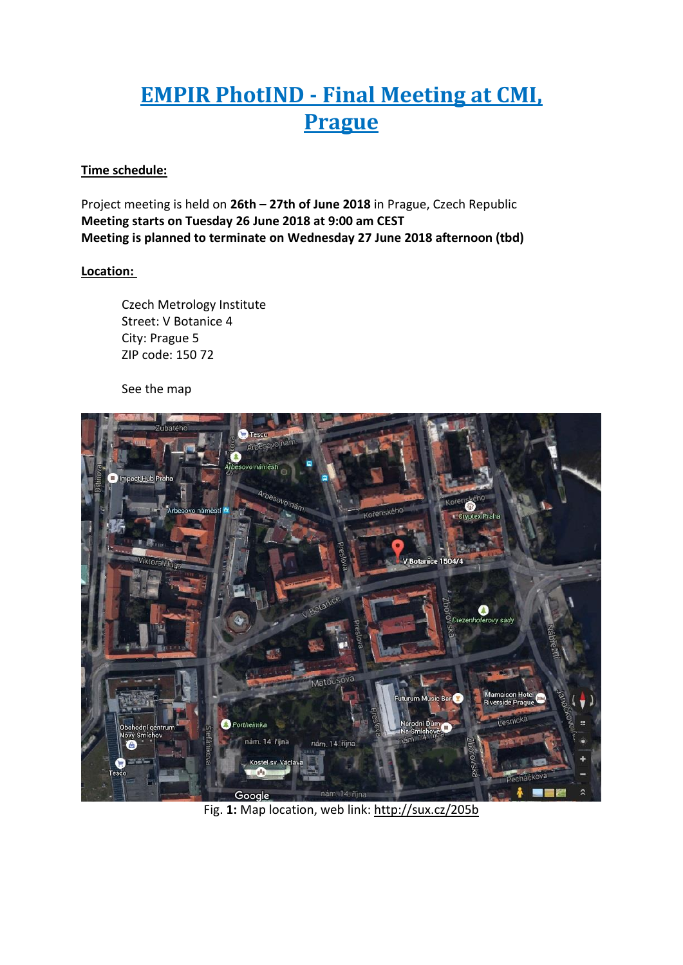# **EMPIR PhotIND - Final Meeting at CMI, Prague**

## **Time schedule:**

Project meeting is held on **26th – 27th of June 2018** in Prague, Czech Republic **Meeting starts on Tuesday 26 June 2018 at 9:00 am CEST Meeting is planned to terminate on Wednesday 27 June 2018 afternoon (tbd)**

# **Location:**

Czech Metrology Institute Street: V Botanice 4 City: Prague 5 ZIP code: 150 72

See the map



Fig. **1:** Map location, web link: http://sux.cz/205b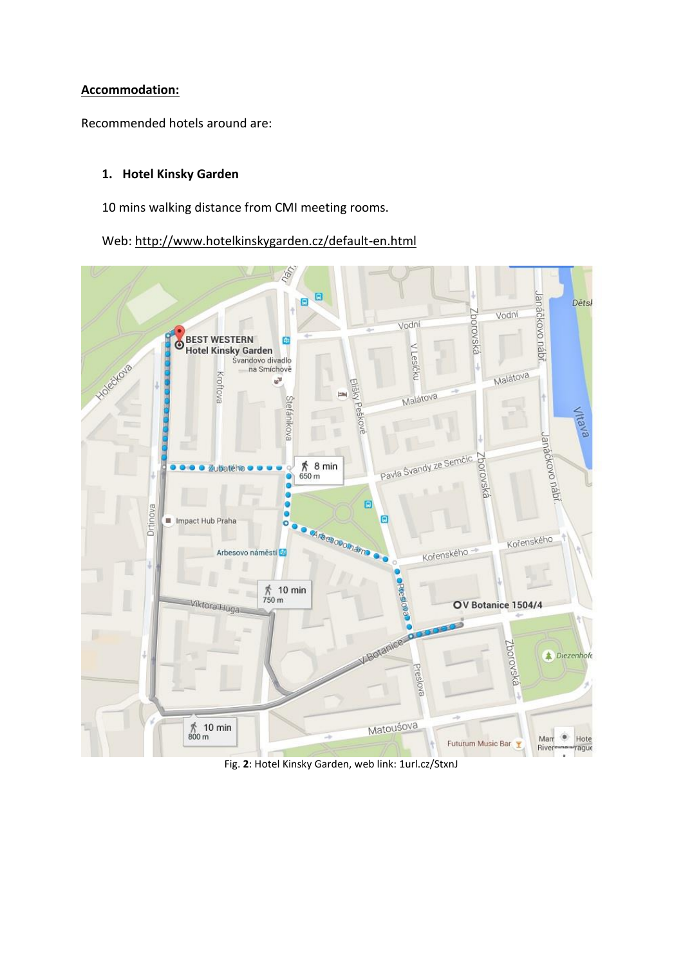## **Accommodation:**

Recommended hotels around are:

# **1. Hotel Kinsky Garden**

10 mins walking distance from CMI meeting rooms.

Web: http://www.hotelkinskygarden.cz/default-en.html



Fig. **[2](../../../../../../../AppData/AppData/Local/Microsoft/Windows/Temporary%20Internet%20Files/Content.Outlook/XEH4QS09/2)**: Hotel Kinsky Garden, web link: [1url.cz/StxnJ](http://1url.cz/StxnJ)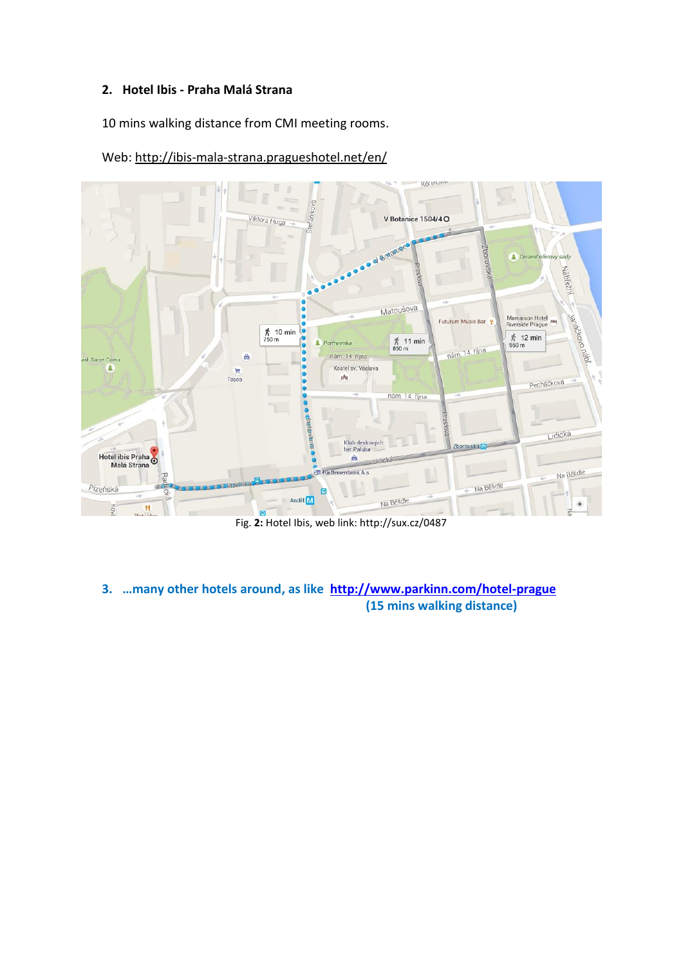## **2. Hotel Ibis - Praha Malá Strana**

10 mins walking distance from CMI meeting rooms.

Web: http://ibis-mala-strana.pragueshotel.net/en/



Fig. **2:** Hotel Ibis, web link: http://sux.cz/0487

**3. …many other hotels around, as like <http://www.parkinn.com/hotel-prague> (15 mins walking distance)**